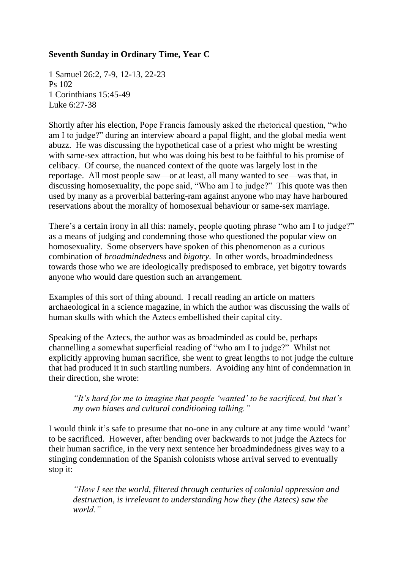## **Seventh Sunday in Ordinary Time, Year C**

1 Samuel 26:2, 7-9, 12-13, 22-23 Ps 102 1 Corinthians 15:45-49 Luke 6:27-38

Shortly after his election, Pope Francis famously asked the rhetorical question, "who am I to judge?" during an interview aboard a papal flight, and the global media went abuzz. He was discussing the hypothetical case of a priest who might be wresting with same-sex attraction, but who was doing his best to be faithful to his promise of celibacy. Of course, the nuanced context of the quote was largely lost in the reportage. All most people saw—or at least, all many wanted to see—was that, in discussing homosexuality, the pope said, "Who am I to judge?" This quote was then used by many as a proverbial battering-ram against anyone who may have harboured reservations about the morality of homosexual behaviour or same-sex marriage.

There's a certain irony in all this: namely, people quoting phrase "who am I to judge?" as a means of judging and condemning those who questioned the popular view on homosexuality. Some observers have spoken of this phenomenon as a curious combination of *broadmindedness* and *bigotry*. In other words, broadmindedness towards those who we are ideologically predisposed to embrace, yet bigotry towards anyone who would dare question such an arrangement.

Examples of this sort of thing abound. I recall reading an article on matters archaeological in a science magazine, in which the author was discussing the walls of human skulls with which the Aztecs embellished their capital city*.*

Speaking of the Aztecs, the author was as broadminded as could be, perhaps channelling a somewhat superficial reading of "who am I to judge?" Whilst not explicitly approving human sacrifice, she went to great lengths to not judge the culture that had produced it in such startling numbers. Avoiding any hint of condemnation in their direction, she wrote:

*"It's hard for me to imagine that people 'wanted' to be sacrificed, but that's my own biases and cultural conditioning talking."*

I would think it's safe to presume that no-one in any culture at any time would 'want' to be sacrificed. However, after bending over backwards to not judge the Aztecs for their human sacrifice, in the very next sentence her broadmindedness gives way to a stinging condemnation of the Spanish colonists whose arrival served to eventually stop it:

*"How I see the world, filtered through centuries of colonial oppression and destruction, is irrelevant to understanding how they (the Aztecs) saw the world."*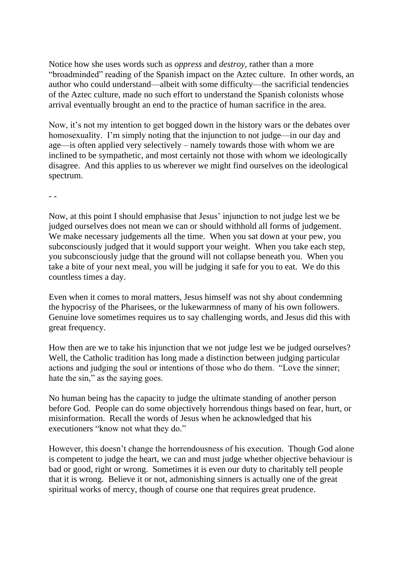Notice how she uses words such as *oppress* and *destroy*, rather than a more "broadminded" reading of the Spanish impact on the Aztec culture. In other words, an author who could understand—albeit with some difficulty—the sacrificial tendencies of the Aztec culture, made no such effort to understand the Spanish colonists whose arrival eventually brought an end to the practice of human sacrifice in the area.

Now, it's not my intention to get bogged down in the history wars or the debates over homosexuality. I'm simply noting that the injunction to not judge—in our day and age—is often applied very selectively – namely towards those with whom we are inclined to be sympathetic, and most certainly not those with whom we ideologically disagree. And this applies to us wherever we might find ourselves on the ideological spectrum.

- -

Now, at this point I should emphasise that Jesus' injunction to not judge lest we be judged ourselves does not mean we can or should withhold all forms of judgement. We make necessary judgements all the time. When you sat down at your pew, you subconsciously judged that it would support your weight. When you take each step, you subconsciously judge that the ground will not collapse beneath you. When you take a bite of your next meal, you will be judging it safe for you to eat. We do this countless times a day.

Even when it comes to moral matters, Jesus himself was not shy about condemning the hypocrisy of the Pharisees, or the lukewarmness of many of his own followers. Genuine love sometimes requires us to say challenging words, and Jesus did this with great frequency.

How then are we to take his injunction that we not judge lest we be judged ourselves? Well, the Catholic tradition has long made a distinction between judging particular actions and judging the soul or intentions of those who do them. "Love the sinner; hate the sin," as the saying goes.

No human being has the capacity to judge the ultimate standing of another person before God. People can do some objectively horrendous things based on fear, hurt, or misinformation. Recall the words of Jesus when he acknowledged that his executioners "know not what they do."

However, this doesn't change the horrendousness of his execution. Though God alone is competent to judge the heart, we can and must judge whether objective behaviour is bad or good, right or wrong. Sometimes it is even our duty to charitably tell people that it is wrong. Believe it or not, admonishing sinners is actually one of the great spiritual works of mercy, though of course one that requires great prudence.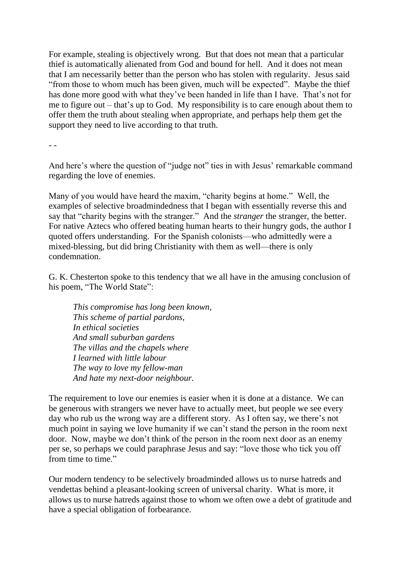For example, stealing is objectively wrong. But that does not mean that a particular thief is automatically alienated from God and bound for hell. And it does not mean that I am necessarily better than the person who has stolen with regularity. Jesus said "from those to whom much has been given, much will be expected". Maybe the thief has done more good with what they've been handed in life than I have. That's not for me to figure out – that's up to God. My responsibility is to care enough about them to offer them the truth about stealing when appropriate, and perhaps help them get the support they need to live according to that truth.

- -

And here's where the question of "judge not" ties in with Jesus' remarkable command regarding the love of enemies.

Many of you would have heard the maxim, "charity begins at home." Well, the examples of selective broadmindedness that I began with essentially reverse this and say that "charity begins with the stranger." And the *stranger* the stranger, the better. For native Aztecs who offered beating human hearts to their hungry gods, the author I quoted offers understanding. For the Spanish colonists—who admittedly were a mixed-blessing, but did bring Christianity with them as well—there is only condemnation.

G. K. Chesterton spoke to this tendency that we all have in the amusing conclusion of his poem, "The World State":

*This compromise has long been known, This scheme of partial pardons, In ethical societies And small suburban gardens The villas and the chapels where I learned with little labour The way to love my fellow-man And hate my next-door neighbour.*

The requirement to love our enemies is easier when it is done at a distance. We can be generous with strangers we never have to actually meet, but people we see every day who rub us the wrong way are a different story. As I often say, we there's not much point in saying we love humanity if we can't stand the person in the room next door. Now, maybe we don't think of the person in the room next door as an enemy per se, so perhaps we could paraphrase Jesus and say: "love those who tick you off from time to time."

Our modern tendency to be selectively broadminded allows us to nurse hatreds and vendettas behind a pleasant-looking screen of universal charity. What is more, it allows us to nurse hatreds against those to whom we often owe a debt of gratitude and have a special obligation of forbearance.